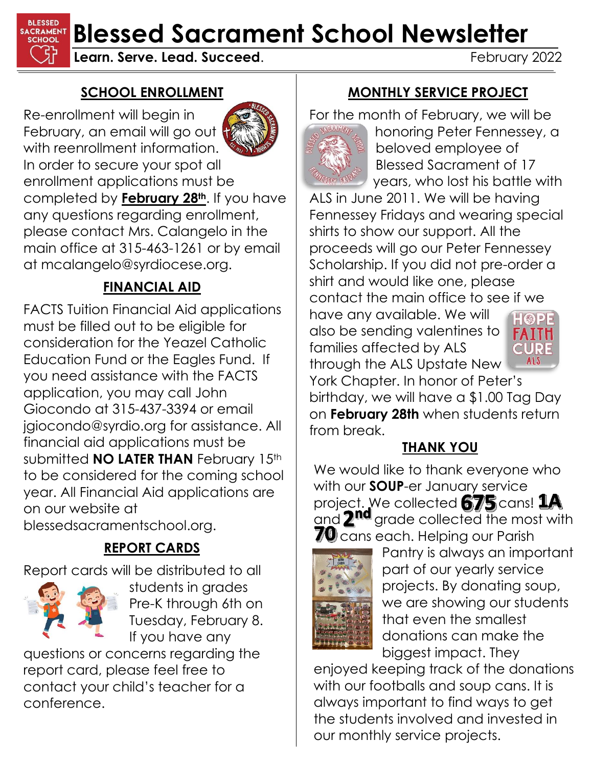**BLESSED SACRAMENT Blessed Sacrament School Newsletter** 

**Learn. Serve. Lead. Succeed.** The contract of the February 2022

#### **SCHOOL ENROLLMENT**

Re-enrollment will begin in February, an email will go out with reenrollment information. In order to secure your spot all enrollment applications must be completed by **February 28th**. If you have any questions regarding enrollment, please contact Mrs. Calangelo in the main office at 315-463-1261 or by email at mcalangelo@syrdiocese.org.

### **FINANCIAL AID**

FACTS Tuition Financial Aid applications must be filled out to be eligible for consideration for the Yeazel Catholic Education Fund or the Eagles Fund. If you need assistance with the FACTS application, you may call John Giocondo at 315-437-3394 or email jgiocondo@syrdio.org for assistance. All financial aid applications must be submitted **NO LATER THAN** February 15th to be considered for the coming school year. All Financial Aid applications are on our website at

blessedsacramentschool.org.

## **REPORT CARDS**

Report cards will be distributed to all



students in grades Pre-K through 6th on Tuesday, February 8. If you have any

questions or concerns regarding the report card, please feel free to contact your child's teacher for a conference.

#### **MONTHLY SERVICE PROJECT**

For the month of February, we will be



honoring Peter Fennessey, a beloved employee of Blessed Sacrament of 17 years, who lost his battle with

ALS in June 2011. We will be having Fennessey Fridays and wearing special shirts to show our support. All the proceeds will go our Peter Fennessey Scholarship. If you did not pre-order a shirt and would like one, please contact the main office to see if we

have any available. We will also be sending valentines to families affected by ALS through the ALS Upstate New



York Chapter. In honor of Peter's birthday, we will have a \$1.00 Tag Day on **February 28th** when students return from break.

#### **THANK YOU**

We would like to thank everyone who with our **SOUP**-er January service project. We collected **675** cans! 1A<br>and 2<sup>nd</sup> grade collected the most wit  $q$  grade collected the most with  $\overline{\mathcal{U}}$  cans each. Helping our Parish



Pantry is always an important part of our yearly service projects. By donating soup, we are showing our students that even the smallest donations can make the biggest impact. They

enjoyed keeping track of the donations with our footballs and soup cans. It is always important to find ways to get the students involved and invested in our monthly service projects.